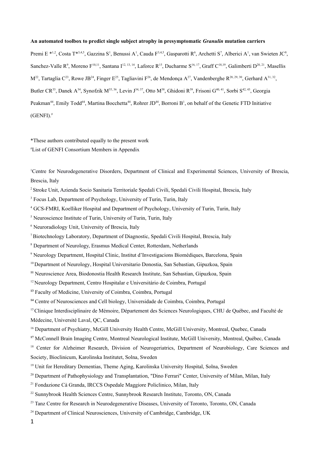## **An automated toolbox to predict single subject atrophy in presymptomatic** *Granulin* **mutation carriers**

Premi E<sup>\*1,2</sup>, Costa T<sup>\*3,4,5</sup>, Gazzina S<sup>1</sup>, Benussi A<sup>1</sup>, Cauda F<sup>3,4,5</sup>, Gasparotti R<sup>6</sup>, Archetti S<sup>7</sup>, Alberici A<sup>1</sup>, van Swieten JC<sup>8</sup>, Sanchez-Valle R<sup>9</sup>, Moreno F<sup>10,11</sup>, Santana I<sup>12, 13, <sup>14</sup>, Laforce R<sup>15</sup>, Ducharme S<sup>16, 17</sup>, Graff C<sup>18, 19</sup>, Galimberti D<sup>20, 21</sup>, Masellis</sup>  $M^{22}$ , Tartaglia C<sup>23</sup>, Rowe JB<sup>24</sup>, Finger E<sup>25</sup>, Tagliavini F<sup>26</sup>, de Mendonça A<sup>27</sup>, Vandenberghe R<sup>28, 29, 30</sup>, Gerhard A<sup>31, 32</sup>, Butler CR<sup>33</sup>, Danek A<sup>34</sup>, Synofzik M<sup>35, 36</sup>, Levin J<sup>34, 37</sup>, Otto M<sup>38</sup>, Ghidoni R<sup>39</sup>, Frisoni G<sup>40, 41</sup>, Sorbi S<sup>42, 43</sup>, Georgia Peakman<sup>44</sup>, Emily Todd<sup>44</sup>, Martina Bocchetta<sup>44</sup>, Rohrer JD<sup>44</sup>, Borroni B<sup>1</sup>, on behalf of the Genetic FTD Initiative  $(GENFI).$ #

\*These authors contributed equally to the present work

#List of GENFI Consortium Members in Appendix

<sup>1</sup>Centre for Neurodegenerative Disorders, Department of Clinical and Experimental Sciences, University of Brescia, Brescia, Italy

<sup>2</sup> Stroke Unit, Azienda Socio Sanitaria Territoriale Spedali Civili, Spedali Civili Hospital, Brescia, Italy

<sup>3</sup> Focus Lab, Department of Psychology, University of Turin, Turin, Italy

4 GCS-FMRI, Koelliker Hospital and Department of Psychology, University of Turin, Turin, Italy

<sup>5</sup> Neuroscience Institute of Turin, University of Turin, Turin, Italy

<sup>6</sup> Neuroradiology Unit, University of Brescia, Italy

<sup>7</sup>Biotechnology Laboratory, Department of Diagnostic, Spedali Civili Hospital, Brescia, Italy

<sup>8</sup> Department of Neurology, Erasmus Medical Center, Rotterdam, Netherlands

9 Neurology Department, Hospital Clinic, Institut d'Investigacions Biomèdiques, Barcelona, Spain

<sup>10</sup> Department of Neurology, Hospital Universitario Donostia, San Sebastian, Gipuzkoa, Spain

**<sup>11</sup>** Neuroscience Area, Biodonostia Health Research Institute, San Sebastian, Gipuzkoa, Spain

<sup>12</sup> Neurology Department, Centro Hospitalar e Universitário de Coimbra, Portugal

**<sup>13</sup>** Faculty of Medicine, University of Coimbra, Coimbra, Portugal

**<sup>14</sup>** Centre of Neurosciences and Cell biology, Universidade de Coimbra, Coimbra, Portugal

<sup>15</sup> Clinique Interdisciplinaire de Mémoire, Département des Sciences Neurologiques, CHU de Québec, and Faculté de Médecine, Université Laval, QC, Canada

<sup>16</sup> Department of Psychiatry, McGill University Health Centre, McGill University, Montreal, Quebec, Canada

<sup>17</sup> McConnell Brain Imaging Centre, Montreal Neurological Institute, McGill University, Montreal, Québec, Canada

<sup>18</sup> Center for Alzheimer Research, Division of Neurogeriatrics, Department of Neurobiology, Care Sciences and Society, Bioclinicum, Karolinska Institutet, Solna, Sweden

- <sup>19</sup> Unit for Hereditary Dementias, Theme Aging, Karolinska University Hospital, Solna, Sweden
- <sup>20</sup> Department of Pathophysiology and Transplantation, "Dino Ferrari" Center, University of Milan, Milan, Italy

<sup>21</sup> Fondazione Cà Granda, IRCCS Ospedale Maggiore Policlinico, Milan, Italy

<sup>22</sup> Sunnybrook Health Sciences Centre, Sunnybrook Research Institute, Toronto, ON, Canada

<sup>23</sup> Tanz Centre for Research in Neurodegenerative Diseases, University of Toronto, Toronto, ON, Canada

 $24$  Department of Clinical Neurosciences, University of Cambridge, Cambridge, UK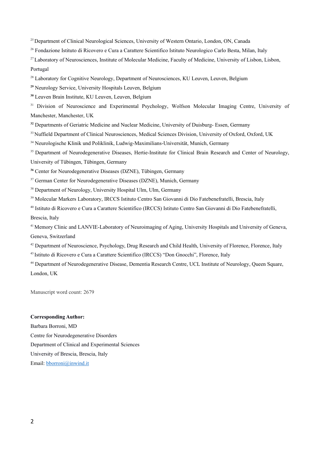<sup>25</sup> Department of Clinical Neurological Sciences, University of Western Ontario, London, ON, Canada

<sup>26</sup> Fondazione Istituto di Ricovero e Cura a Carattere Scientifico Istituto Neurologico Carlo Besta, Milan, Italy

<sup>27</sup> Laboratory of Neurosciences, Institute of Molecular Medicine, Faculty of Medicine, University of Lisbon, Lisbon, Portugal

<sup>28</sup> Laboratory for Cognitive Neurology, Department of Neurosciences, KU Leuven, Leuven, Belgium

**<sup>29</sup>** Neurology Service, University Hospitals Leuven, Belgium

**<sup>30</sup>** Leuven Brain Institute, KU Leuven, Leuven, Belgium

<sup>31</sup> Division of Neuroscience and Experimental Psychology, Wolfson Molecular Imaging Centre, University of Manchester, Manchester, UK

<sup>32</sup> Departments of Geriatric Medicine and Nuclear Medicine, University of Duisburg- Essen, Germany

<sup>33</sup> Nuffield Department of Clinical Neurosciences, Medical Sciences Division, University of Oxford, Oxford, UK

<sup>34</sup> Neurologische Klinik und Poliklinik, Ludwig-Maximilians-Universität, Munich, Germany

<sup>35</sup> Department of Neurodegenerative Diseases, Hertie-Institute for Clinical Brain Research and Center of Neurology, University of Tübingen, Tübingen, Germany

**<sup>36</sup>** Center for Neurodegenerative Diseases (DZNE), Tübingen, Germany

<sup>37</sup> German Center for Neurodegenerative Diseases (DZNE), Munich, Germany

<sup>38</sup> Department of Neurology, University Hospital Ulm, Ulm, Germany

<sup>39</sup> Molecular Markers Laboratory, IRCCS Istituto Centro San Giovanni di Dio Fatebenefratelli, Brescia, Italy

<sup>40</sup> Istituto di Ricovero e Cura a Carattere Scientifico (IRCCS) Istituto Centro San Giovanni di Dio Fatebenefratelli, Brescia, Italy

<sup>41</sup> Memory Clinic and LANVIE-Laboratory of Neuroimaging of Aging, University Hospitals and University of Geneva, Geneva, Switzerland

<sup>42</sup> Department of Neuroscience, Psychology, Drug Research and Child Health, University of Florence, Florence, Italy

<sup>43</sup> Istituto di Ricovero e Cura a Carattere Scientifico (IRCCS) "Don Gnocchi", Florence, Italy

<sup>44</sup> Department of Neurodegenerative Disease, Dementia Research Centre, UCL Institute of Neurology, Queen Square, London, UK

Manuscript word count: 2679

## **Corresponding Author:**

Barbara Borroni, MD Centre for Neurodegenerative Disorders Department of Clinical and Experimental Sciences University of Brescia, Brescia, Italy Email: [bborroni@inwind.it](mailto:bborroni@inwind.it)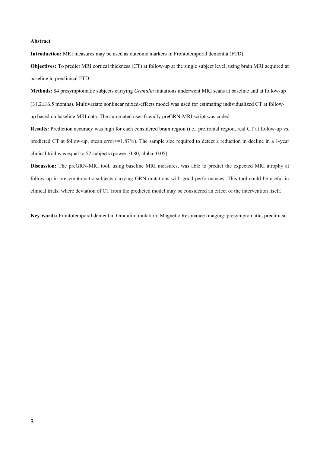### **Abstract**

**Introduction:** MRI measures may be used as outcome markers in Frontotemporal dementia (FTD).

**Objectives:** To predict MRI cortical thickness (CT) at follow-up at the single subject level, using brain MRI acquired at baseline in preclinical FTD.

**Methods:** 84 presymptomatic subjects carrying *Granulin* mutations underwent MRI scans at baseline and at follow-up (31.216.5 months). Multivariate nonlinear mixed-effects model was used for estimating individualized CT at followup based on baseline MRI data. The automated user-friendly preGRN-MRI script was coded.

**Results:** Prediction accuracy was high for each considered brain region (i.e., prefrontal region, real CT at follow-up vs. predicted CT at follow-up, mean error $\leq$ =1.87%). The sample size required to detect a reduction in decline in a 1-year clinical trial was equal to 52 subjects (power=0.80, alpha=0.05).

**Discussion:** The preGRN-MRI tool, using baseline MRI measures, was able to predict the expected MRI atrophy at follow-up in presymptomatic subjects carrying GRN mutations with good performances. This tool could be useful in clinical trials, where deviation of CT from the predicted model may be considered an effect of the intervention itself.

**Key-words:** Frontotemporal dementia; Granulin; mutation; Magnetic Resonance Imaging; presymptomatic; preclinical.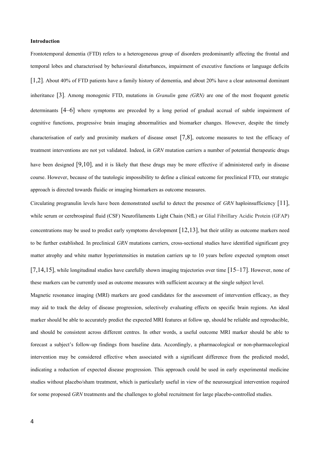#### **Introduction**

Frontotemporal dementia (FTD) refers to a heterogeneous group of disorders predominantly affecting the frontal and temporal lobes and characterised by behavioural disturbances, impairment of executive functions or language deficits [1,2]. About 40% of FTD patients have a family history of dementia, and about 20% have a clear autosomal dominant inheritance [3]. Among monogenic FTD, mutations in *Granulin* gene *(GRN)* are one of the most frequent genetic determinants [4–6] where symptoms are preceded by a long period of gradual accrual of subtle impairment of cognitive functions, progressive brain imaging abnormalities and biomarker changes. However, despite the timely characterisation of early and proximity markers of disease onset [7,8], outcome measures to test the efficacy of treatment interventions are not yet validated. Indeed, in *GRN* mutation carriers a number of potential therapeutic drugs have been designed [9,10], and it is likely that these drugs may be more effective if administered early in disease course. However, because of the tautologic impossibility to define a clinical outcome for preclinical FTD, our strategic approach is directed towards fluidic or imaging biomarkers as outcome measures.

Circulating progranulin levels have been demonstrated useful to detect the presence of *GRN* haploinsufficiency [11], while serum or cerebrospinal fluid (CSF) Neurofilaments Light Chain (NfL) or Glial Fibrillary Acidic Protein (GFAP) concentrations may be used to predict early symptoms development  $[12,13]$ , but their utility as outcome markers need to be further established. In preclinical *GRN* mutations carriers, cross-sectional studies have identified significant grey matter atrophy and white matter hyperintensities in mutation carriers up to 10 years before expected symptom onset  $[7,14,15]$ , while longitudinal studies have carefully shown imaging trajectories over time  $[15-17]$ . However, none of these markers can be currently used as outcome measures with sufficient accuracy at the single subject level.

Magnetic resonance imaging (MRI) markers are good candidates for the assessment of intervention efficacy, as they may aid to track the delay of disease progression, selectively evaluating effects on specific brain regions. An ideal marker should be able to accurately predict the expected MRI features at follow up, should be reliable and reproducible, and should be consistent across different centres. In other words, a useful outcome MRI marker should be able to forecast a subject's follow-up findings from baseline data. Accordingly, a pharmacological or non-pharmacological intervention may be considered effective when associated with a significant difference from the predicted model, indicating a reduction of expected disease progression. This approach could be used in early experimental medicine studies without placebo/sham treatment, which is particularly useful in view of the neurosurgical intervention required for some proposed *GRN* treatments and the challenges to global recruitment for large placebo-controlled studies.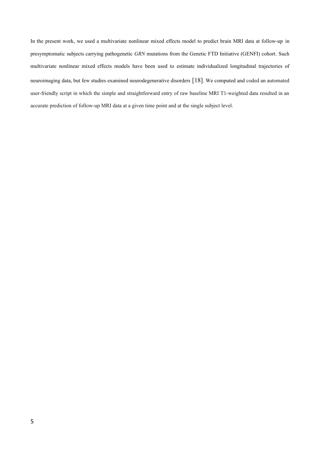In the present work, we used a multivariate nonlinear mixed effects model to predict brain MRI data at follow-up in presymptomatic subjects carrying pathogenetic *GRN* mutations from the Genetic FTD Initiative (GENFI) cohort. Such multivariate nonlinear mixed effects models have been used to estimate individualized longitudinal trajectories of neuroimaging data, but few studies examined neurodegenerative disorders [18]. We computed and coded an automated user-friendly script in which the simple and straightforward entry of raw baseline MRI T1-weighted data resulted in an accurate prediction of follow-up MRI data at a given time point and at the single subject level.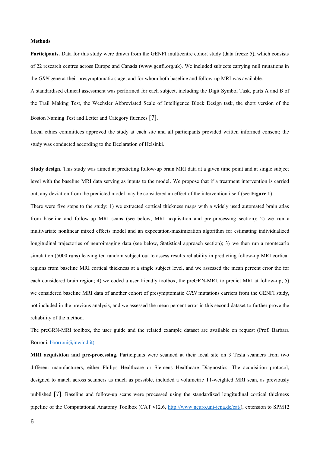#### **Methods**

**Participants.** Data for this study were drawn from the GENFI multicentre cohort study (data freeze 5), which consists of 22 research centres across Europe and Canada (www.genfi.org.uk). We included subjects carrying null mutations in the *GRN* gene at their presymptomatic stage, and for whom both baseline and follow-up MRI was available.

A standardised clinical assessment was performed for each subject, including the Digit Symbol Task, parts A and B of the Trail Making Test, the Wechsler Abbreviated Scale of Intelligence Block Design task, the short version of the Boston Naming Test and Letter and Category fluences [7].

Local ethics committees approved the study at each site and all participants provided written informed consent; the study was conducted according to the Declaration of Helsinki.

**Study design.** This study was aimed at predicting follow-up brain MRI data at a given time point and at single subject level with the baseline MRI data serving as inputs to the model. We propose that if a treatment intervention is carried out, any deviation from the predicted model may be considered an effect of the intervention itself (see **Figure 1**).

There were five steps to the study: 1) we extracted cortical thickness maps with a widely used automated brain atlas from baseline and follow-up MRI scans (see below, MRI acquisition and pre-processing section); 2) we run a multivariate nonlinear mixed effects model and an expectation-maximization algorithm for estimating individualized longitudinal trajectories of neuroimaging data (see below, Statistical approach section); 3) we then run a montecarlo simulation (5000 runs) leaving ten random subject out to assess results reliability in predicting follow-up MRI cortical regions from baseline MRI cortical thickness at a single subject level, and we assessed the mean percent error the for each considered brain region; 4) we coded a user friendly toolbox, the preGRN-MRI, to predict MRI at follow-up; 5) we considered baseline MRI data of another cohort of presymptomatic *GRN* mutations carriers from the GENFI study, not included in the previous analysis, and we assessed the mean percent error in this second dataset to further prove the reliability of the method.

The preGRN-MRI toolbox, the user guide and the related example dataset are available on request (Prof. Barbara Borroni, [bborroni@inwind.it](mailto:bborroni@inwind.it)).

**MRI acquisition and pre-processing.** Participants were scanned at their local site on 3 Tesla scanners from two different manufacturers, either Philips Healthcare or Siemens Healthcare Diagnostics. The acquisition protocol, designed to match across scanners as much as possible, included a volumetric T1-weighted MRI scan, as previously published [7]. Baseline and follow-up scans were processed using the standardized longitudinal cortical thickness pipeline of the Computational Anatomy Toolbox (CAT v12.6, [http://www.neuro.uni-jena.de/cat/\)](http://www.neuro.uni-jena.de/cat/), extension to SPM12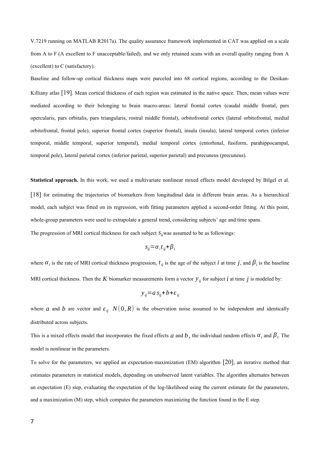V.7219 running on MATLAB R2017a). The quality assurance framework implemented in CAT was applied on a scale from A to F (A excellent to F unacceptable/failed), and we only retained scans with an overall quality ranging from A (excellent) to C (satisfactory).

Baseline and follow-up cortical thickness maps were parceled into 68 cortical regions, according to the Desikan-Killiany atlas [19]. Mean cortical thickness of each region was estimated in the native space. Then, mean values were mediated according to their belonging to brain macro-areas: lateral frontal cortex (caudal middle frontal, pars opercularis, pars orbitalis, pars triangularis, rostral middle frontal), orbitofrontal cortex (lateral orbitofrontal, medial orbitofrontal, frontal pole), superior frontal cortex (superior frontal), insula (insula), lateral temporal cortex (inferior temporal, middle temporal, superior temporal), medial temporal cortex (entorhinal, fusiform, parahippocampal, temporal pole), lateral parietal cortex (inferior parietal, superior parietal) and precuneus (precuneus).

**Statistical approach.** In this work, we used a multivariate nonlinear mixed effects model developed by Bilgel et al. [18] for estimating the trajectories of biomarkers from longitudinal data in different brain areas. As a hierarchical model, each subject was fitted on its regression, with fitting parameters applied a second-order fitting. At this point, whole-group parameters were used to extrapolate a general trend, considering subjects' age and time spans.

The progression of MRI cortical thickness for each subject *sij*was assumed to be as followings:

$$
s_{ij} = \alpha_i t_{ij} + \beta_i
$$

where  $\alpha_i$  is the rate of MRI cortical thickness progression,  $t_{ij}$  is the age of the subject *i* at time *j*, and  $\beta_i$  is the baseline MRI cortical thickness. Then the  $K$  biomarker measurements form a vector  $y_{ij}$  for subject  $i$  at time  $j$  is modeled by:

$$
y_{ij} = a s_{ij} + b + \epsilon_{ij}
$$

where *a* and *b* are vector and  $\epsilon_{ij}$   $N(0, R)$  is the observation noise assumed to be independent and identically distributed across subjects.

This is a mixed effects model that incorporates the fixed effects *a* and *b*, the individual random effects  $\alpha_i$  and  $\beta_i$ . The model is nonlinear in the parameters.

To solve for the parameters, we applied an expectation-maximization (EM) algorithm [20], an iterative method that estimates parameters in statistical models, depending on unobserved latent variables. The algorithm alternates between an expectation (E) step, evaluating the expectation of the log-likelihood using the current estimate for the parameters, and a maximization (M) step, which computes the parameters maximizing the function found in the E step.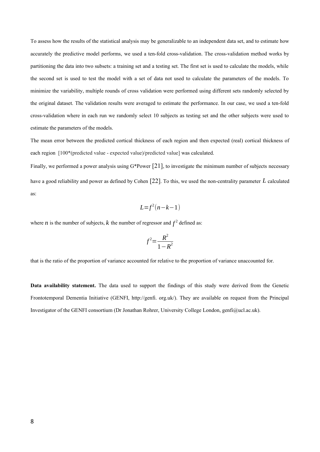To assess how the results of the statistical analysis may be generalizable to an independent data set, and to estimate how accurately the predictive model performs, we used a ten-fold cross-validation. The cross-validation method works by partitioning the data into two subsets: a training set and a testing set. The first set is used to calculate the models, while the second set is used to test the model with a set of data not used to calculate the parameters of the models. To minimize the variability, multiple rounds of cross validation were performed using different sets randomly selected by the original dataset. The validation results were averaged to estimate the performance. In our case, we used a ten-fold cross-validation where in each run we randomly select 10 subjects as testing set and the other subjects were used to estimate the parameters of the models.

The mean error between the predicted cortical thickness of each region and then expected (real) cortical thickness of each region [100\*(predicted value - expected value)/predicted value] was calculated.

Finally, we performed a power analysis using G\*Power [21], to investigate the minimum number of subjects necessary have a good reliability and power as defined by Cohen [22]. To this, we used the non-centrality parameter *L* calculated as:

$$
L = f^2(n-k-1)
$$

where *n* is the number of subjects, *k* the number of regressor and  $f^2$  defined as:

$$
f^2 = \frac{R^2}{1 - R^2}
$$

that is the ratio of the proportion of variance accounted for relative to the proportion of variance unaccounted for.

**Data availability statement.** The data used to support the findings of this study were derived from the Genetic Frontotemporal Dementia Initiative (GENFI, http://genfi. org.uk/). They are available on request from the Principal Investigator of the GENFI consortium (Dr Jonathan Rohrer, University College London, genfi@ucl.ac.uk).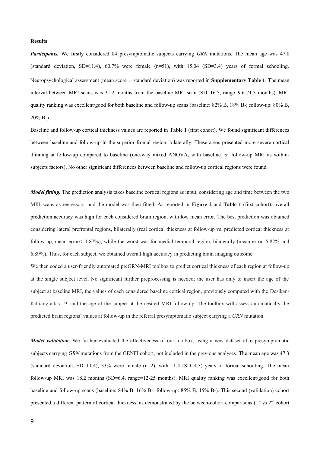### **Results**

*Participants.* We firstly considered 84 presymptomatic subjects carrying *GRN* mutations. The mean age was 47.8 (standard deviation, SD=11.4),  $60.7\%$  were female (n=51), with 15.04 (SD=3.4) years of formal schooling. Neuropsychological assessment (mean score ± standard deviation) was reported in **Supplementary Table 1**. The mean interval between MRI scans was 31.2 months from the baseline MRI scan (SD=16.5, range=9.6-71.3 months). MRI quality ranking was excellent/good for both baseline and follow-up scans (baseline: 82% B, 18% B-; follow-up: 80% B, 20% B-).

Baseline and follow-up cortical thickness values are reported in **Table 1** (first cohort). We found significant differences between baseline and follow-up in the superior frontal region, bilaterally. These areas presented more severe cortical thinning at follow-up compared to baseline (one-way mixed ANOVA, with baseline *vs.* follow-up MRI as withinsubjects factors). No other significant differences between baseline and follow-up cortical regions were found.

*Model fitting*. The prediction analysis takes baseline cortical regions as input, considering age and time between the two MRI scans as regressors, and the model was then fitted. As reported in **Figure 2** and **Table 1** (first cohort), overall prediction accuracy was high for each considered brain region, with low mean error. The best prediction was obtained considering lateral prefrontal regions, bilaterally (real cortical thickness at follow-up vs. predicted cortical thickness at follow-up, mean error<=1.87%), while the worst was for medial temporal region, bilaterally (mean error=5.82% and 6.89%). Thus, for each subject, we obtained overall high accuracy in predicting brain imaging outcome.

We then coded a user-friendly automated preGRN-MRI toolbox to predict cortical thickness of each region at follow-up at the single subject level. No significant further preprocessing is needed; the user has only to insert the age of the subject at baseline MRI, the values of each considered baseline cortical region, previously computed with the Desikan-Killiany atlas 19, and the age of the subject at the desired MRI follow-up. The toolbox will assess automatically the predicted brain regions' values at follow-up in the referral presymptomatic subject carrying a *GRN* mutation.

*Model validation*. We further evaluated the effectiveness of our toolbox, using a new dataset of 6 presymptomatic subjects carrying *GRN* mutations from the GENFI cohort, not included in the previous analyses. The mean age was 47.3 (standard deviation, SD=11.4), 33% were female  $(n=2)$ , with 11.4 (SD=4.3) years of formal schooling. The mean follow-up MRI was 18.2 months (SD=6.4, range=12-25 months). MRI quality ranking was excellent/good for both baseline and follow-up scans (baseline: 84% B, 16% B-; follow-up: 85% B, 15% B-). This second (validation) cohort presented a different pattern of cortical thickness, as demonstrated by the between-cohort comparisons (1st vs 2<sup>nd</sup> cohort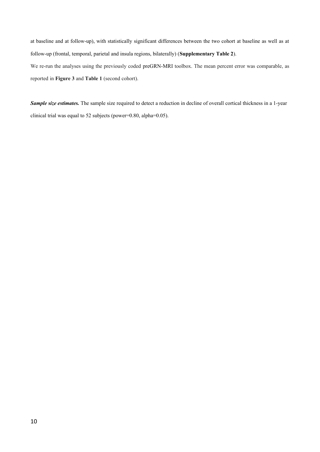at baseline and at follow-up), with statistically significant differences between the two cohort at baseline as well as at follow-up (frontal, temporal, parietal and insula regions, bilaterally) (**Supplementary Table 2**).

We re-run the analyses using the previously coded preGRN-MRI toolbox. The mean percent error was comparable, as reported in **Figure 3** and **Table 1** (second cohort).

*Sample size estimates.* The sample size required to detect a reduction in decline of overall cortical thickness in a 1-year clinical trial was equal to 52 subjects (power=0.80, alpha=0.05).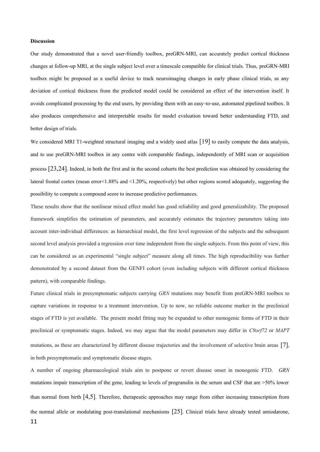#### **Discussion**

Our study demonstrated that a novel user-friendly toolbox, preGRN-MRI, can accurately predict cortical thickness changes at follow-up MRI, at the single subject level over a timescale compatible for clinical trials. Thus, preGRN-MRI toolbox might be proposed as a useful device to track neuroimaging changes in early phase clinical trials, as any deviation of cortical thickness from the predicted model could be considered an effect of the intervention itself. It avoids complicated processing by the end users, by providing them with an easy-to-use, automated pipelined toolbox. It also produces comprehensive and interpretable results for model evaluation toward better understanding FTD, and better design of trials.

We considered MRI T1-weighted structural imaging and a widely used atlas [19] to easily compute the data analysis, and to use preGRN-MRI toolbox in any centre with comparable findings, independently of MRI scan or acquisition process [23,24]. Indeed, in both the first and in the second cohorts the best prediction was obtained by considering the lateral frontal cortex (mean error<1.88% and <1.20%, respectively) but other regions scored adequately, suggesting the possibility to compute a compound score to increase predictive performances.

These results show that the nonlinear mixed effect model has good reliability and good generalizability. The proposed framework simplifies the estimation of parameters, and accurately estimates the trajectory parameters taking into account inter-individual differences: as hierarchical model, the first level regression of the subjects and the subsequent second level analysis provided a regression over time independent from the single subjects. From this point of view, this can be considered as an experimental "single subject" measure along all times. The high reproducibility was further demonstrated by a second dataset from the GENFI cohort (even including subjects with different cortical thickness pattern), with comparable findings.

Future clinical trials in presymptomatic subjects carrying *GRN* mutations may benefit from preGRN-MRI toolbox to capture variations in response to a treatment intervention. Up to now, no reliable outcome marker in the preclinical stages of FTD is yet available. The present model fitting may be expanded to other monogenic forms of FTD in their preclinical or symptomatic stages. Indeed, we may argue that the model parameters may differ in *C9orf72* or *MAPT* mutations, as these are characterized by different disease trajectories and the involvement of selective brain areas [7], in both presymptomatic and symptomatic disease stages.

A number of ongoing pharmacological trials aim to postpone or revert disease onset in monogenic FTD. *GRN* mutations impair transcription of the gene, leading to levels of progranulin in the serum and CSF that are >50% lower than normal from birth [4,5]. Therefore, therapeutic approaches may range from either increasing transcription from the normal allele or modulating post-translational mechanisms [25]. Clinical trials have already tested amiodarone, 11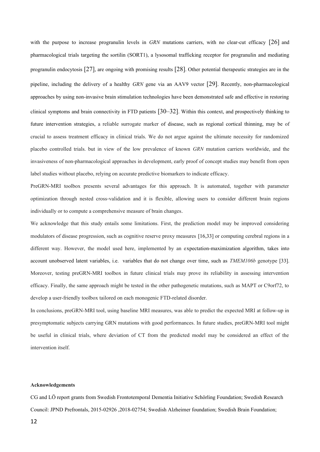with the purpose to increase progranulin levels in *GRN* mutations carriers, with no clear-cut efficacy [26] and pharmacological trials targeting the sortilin (SORT1), a lysosomal trafficking receptor for progranulin and mediating progranulin endocytosis [27], are ongoing with promising results [28]. Other potential therapeutic strategies are in the pipeline, including the delivery of a healthy *GRN* gene via an AAV9 vector [29]. Recently, non-pharmacological approaches by using non-invasive brain stimulation technologies have been demonstrated safe and effective in restoring clinical symptoms and brain connectivity in FTD patients [30–32]. Within this context, and prospectively thinking to future intervention strategies, a reliable surrogate marker of disease, such as regional cortical thinning, may be of crucial to assess treatment efficacy in clinical trials. We do not argue against the ultimate necessity for randomized placebo controlled trials. but in view of the low prevalence of known *GRN* mutation carriers worldwide, and the invasiveness of non-pharmacological approaches in development, early proof of concept studies may benefit from open label studies without placebo, relying on accurate predictive biomarkers to indicate efficacy.

PreGRN-MRI toolbox presents several advantages for this approach. It is automated, together with parameter optimization through nested cross‐validation and it is flexible, allowing users to consider different brain regions individually or to compute a comprehensive measure of brain changes.

We acknowledge that this study entails some limitations. First, the prediction model may be improved considering modulators of disease progression, such as cognitive reserve proxy measures [16,33] or computing cerebral regions in a different way. However, the model used here, implemented by an expectation-maximization algorithm, takes into account unobserved latent variables, i.e. variables that do not change over time, such as *TMEM106b* genotype [33]. Moreover, testing preGRN-MRI toolbox in future clinical trials may prove its reliability in assessing intervention efficacy. Finally, the same approach might be tested in the other pathogenetic mutations, such as MAPT or C9orf72, to develop a user-friendly toolbox tailored on each monogenic FTD-related disorder.

In conclusions, preGRN-MRI tool, using baseline MRI measures, was able to predict the expected MRI at follow-up in presymptomatic subjects carrying GRN mutations with good performances. In future studies, preGRN-MRI tool might be useful in clinical trials, where deviation of CT from the predicted model may be considered an effect of the intervention itself.

#### **Acknowledgements**

CG and LÖ report grants from Swedish Frontotemporal Dementia Initiative Schörling Foundation; Swedish Research Council: JPND Prefrontals, 2015-02926 ,2018-02754; Swedish Alzheimer foundation; Swedish Brain Foundation;

12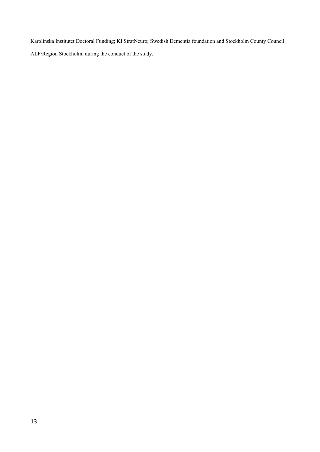Karolinska Institutet Doctoral Funding; KI StratNeuro; Swedish Dementia foundation and Stockholm County Council

ALF/Region Stockholm, during the conduct of the study.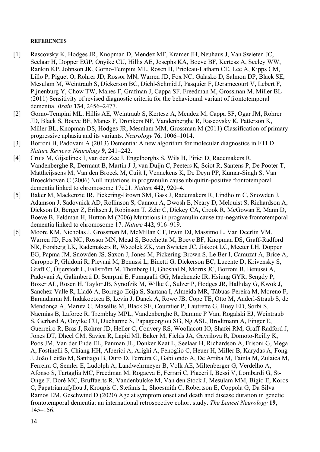## **REFERENCES**

- [1] Rascovsky K, Hodges JR, Knopman D, Mendez MF, Kramer JH, Neuhaus J, Van Swieten JC, Seelaar H, Dopper EGP, Onyike CU, Hillis AE, Josephs KA, Boeve BF, Kertesz A, Seeley WW, Rankin KP, Johnson JK, Gorno-Tempini ML, Rosen H, Prioleau-Latham CE, Lee A, Kipps CM, Lillo P, Piguet O, Rohrer JD, Rossor MN, Warren JD, Fox NC, Galasko D, Salmon DP, Black SE, Mesulam M, Weintraub S, Dickerson BC, Diehl-Schmid J, Pasquier F, Deramecourt V, Lebert F, Pijnenburg Y, Chow TW, Manes F, Grafman J, Cappa SF, Freedman M, Grossman M, Miller BL (2011) Sensitivity of revised diagnostic criteria for the behavioural variant of frontotemporal dementia. *Brain* **134**, 2456–2477.
- [2] Gorno-Tempini ML, Hillis AE, Weintraub S, Kertesz A, Mendez M, Cappa SF, Ogar JM, Rohrer JD, Black S, Boeve BF, Manes F, Dronkers NF, Vandenberghe R, Rascovsky K, Patterson K, Miller BL, Knopman DS, Hodges JR, Mesulam MM, Grossman M (2011) Classification of primary progressive aphasia and its variants. *Neurology* **76**, 1006–1014.
- [3] Borroni B, Padovani A (2013) Dementia: A new algorithm for molecular diagnostics in FTLD. *Nature Reviews Neurology* **9**, 241–242.
- [4] Cruts M, Gijselinck I, van der Zee J, Engelborghs S, Wils H, Pirici D, Rademakers R, Vandenberghe R, Dermaut B, Martin J-J, van Duijn C, Peeters K, Sciot R, Santens P, De Pooter T, Mattheijssens M, Van den Broeck M, Cuijt I, Vennekens K, De Deyn PP, Kumar-Singh S, Van Broeckhoven C (2006) Null mutations in progranulin cause ubiquitin-positive frontotemporal dementia linked to chromosome 17q21. *Nature* **442**, 920–4.
- [5] Baker M, Mackenzie IR, Pickering-Brown SM, Gass J, Rademakers R, Lindholm C, Snowden J, Adamson J, Sadovnick AD, Rollinson S, Cannon A, Dwosh E, Neary D, Melquist S, Richardson A, Dickson D, Berger Z, Eriksen J, Robinson T, Zehr C, Dickey CA, Crook R, McGowan E, Mann D, Boeve B, Feldman H, Hutton M (2006) Mutations in progranulin cause tau-negative frontotemporal dementia linked to chromosome 17. *Nature* **442**, 916–919.
- [6] Moore KM, Nicholas J, Grossman M, McMillan CT, Irwin DJ, Massimo L, Van Deerlin VM, Warren JD, Fox NC, Rossor MN, Mead S, Bocchetta M, Boeve BF, Knopman DS, Graff-Radford NR, Forsberg LK, Rademakers R, Wszolek ZK, van Swieten JC, Jiskoot LC, Meeter LH, Dopper EG, Papma JM, Snowden JS, Saxon J, Jones M, Pickering-Brown S, Le Ber I, Camuzat A, Brice A, Caroppo P, Ghidoni R, Pievani M, Benussi L, Binetti G, Dickerson BC, Lucente D, Krivensky S, Graff C, Öijerstedt L, Fallström M, Thonberg H, Ghoshal N, Morris JC, Borroni B, Benussi A, Padovani A, Galimberti D, Scarpini E, Fumagalli GG, Mackenzie IR, Hsiung GYR, Sengdy P, Boxer AL, Rosen H, Taylor JB, Synofzik M, Wilke C, Sulzer P, Hodges JR, Halliday G, Kwok J, Sanchez-Valle R, Lladó A, Borrego-Ecija S, Santana I, Almeida MR, Tábuas-Pereira M, Moreno F, Barandiaran M, Indakoetxea B, Levin J, Danek A, Rowe JB, Cope TE, Otto M, Anderl-Straub S, de Mendonça A, Maruta C, Masellis M, Black SE, Couratier P, Lautrette G, Huey ED, Sorbi S, Nacmias B, Laforce R, Tremblay MPL, Vandenberghe R, Damme P Van, Rogalski EJ, Weintraub S, Gerhard A, Onyike CU, Ducharme S, Papageorgiou SG, Ng ASL, Brodtmann A, Finger E, Guerreiro R, Bras J, Rohrer JD, Heller C, Convery RS, Woollacott IO, Shafei RM, Graff-Radford J, Jones DT, Dheel CM, Savica R, Lapid MI, Baker M, Fields JA, Gavrilova R, Domoto-Reilly K, Poos JM, Van der Ende EL, Panman JL, Donker Kaat L, Seelaar H, Richardson A, Frisoni G, Mega A, Fostinelli S, Chiang HH, Alberici A, Arighi A, Fenoglio C, Heuer H, Miller B, Karydas A, Fong J, João Leitão M, Santiago B, Duro D, Ferreira C, Gabilondo A, De Arriba M, Tainta M, Zulaica M, Ferreira C, Semler E, Ludolph A, Landwehrmeyer B, Volk AE, Miltenberger G, Verdelho A, Afonso S, Tartaglia MC, Freedman M, Rogaeva E, Ferrari C, Piaceri I, Bessi V, Lombardi G, St-Onge F, Doré MC, Bruffaerts R, Vandenbulcke M, Van den Stock J, Mesulam MM, Bigio E, Koros C, Papatriantafyllou J, Kroupis C, Stefanis L, Shoesmith C, Robertson E, Coppola G, Da Silva Ramos EM, Geschwind D (2020) Age at symptom onset and death and disease duration in genetic frontotemporal dementia: an international retrospective cohort study. *The Lancet Neurology* **19**, 145–156.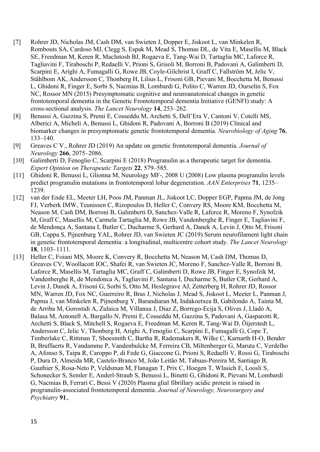- [7] Rohrer JD, Nicholas JM, Cash DM, van Swieten J, Dopper E, Jiskoot L, van Minkelen R, Rombouts SA, Cardoso MJ, Clegg S, Espak M, Mead S, Thomas DL, de Vita E, Masellis M, Black SE, Freedman M, Keren R, MacIntosh BJ, Rogaeva E, Tang-Wai D, Tartaglia MC, Laforce R, Tagliavini F, Tiraboschi P, Redaelli V, Prioni S, Grisoli M, Borroni B, Padovani A, Galimberti D, Scarpini E, Arighi A, Fumagalli G, Rowe JB, Coyle-Gilchrist I, Graff C, Fallström M, Jelic V, Ståhlbom AK, Andersson C, Thonberg H, Lilius L, Frisoni GB, Pievani M, Bocchetta M, Benussi L, Ghidoni R, Finger E, Sorbi S, Nacmias B, Lombardi G, Polito C, Warren JD, Ourselin S, Fox NC, Rossor MN (2015) Presymptomatic cognitive and neuroanatomical changes in genetic frontotemporal dementia in the Genetic Frontotemporal dementia Initiative (GENFI) study: A cross-sectional analysis. *The Lancet Neurology* **14**, 253–262.
- [8] Benussi A, Gazzina S, Premi E, Cosseddu M, Archetti S, Dell'Era V, Cantoni V, Cotelli MS, Alberici A, Micheli A, Benussi L, Ghidoni R, Padovani A, Borroni B (2019) Clinical and biomarker changes in presymptomatic genetic frontotemporal dementia. *Neurobiology of Aging* **76**, 133–140.
- [9] Greaves C V., Rohrer JD (2019) An update on genetic frontotemporal dementia. *Journal of Neurology* **266**, 2075–2086.
- [10] Galimberti D, Fenoglio C, Scarpini E (2018) Progranulin as a therapeutic target for dementia. *Expert Opinion on Therapeutic Targets* **22**, 579–585.
- [11] Ghidoni R, Benussi L, Glionna M, Neurology MF-, 2008 U (2008) Low plasma progranulin levels predict progranulin mutations in frontotemporal lobar degeneration. *AAN Enterprises* **71**, 1235– 1239.
- [12] van der Ende EL, Meeter LH, Poos JM, Panman JL, Jiskoot LC, Dopper EGP, Papma JM, de Jong FJ, Verberk IMW, Teunissen C, Rizopoulos D, Heller C, Convery RS, Moore KM, Bocchetta M, Neason M, Cash DM, Borroni B, Galimberti D, Sanchez-Valle R, Laforce R, Moreno F, Synofzik M, Graff C, Masellis M, Carmela Tartaglia M, Rowe JB, Vandenberghe R, Finger E, Tagliavini F, de Mendonça A, Santana I, Butler C, Ducharme S, Gerhard A, Danek A, Levin J, Otto M, Frisoni GB, Cappa S, Pijnenburg YAL, Rohrer JD, van Swieten JC (2019) Serum neurofilament light chain in genetic frontotemporal dementia: a longitudinal, multicentre cohort study. *The Lancet Neurology* **18**, 1103–1111.
- [13] Heller C, Foiani MS, Moore K, Convery R, Bocchetta M, Neason M, Cash DM, Thomas D, Greaves CV, Woollacott IOC, Shafei R, van Swieten JC, Moreno F, Sanchez-Valle R, Borroni B, Laforce R, Masellis M, Tartaglia MC, Graff C, Galimberti D, Rowe JB, Finger E, Synofzik M, Vandenberghe R, de Mendonca A, Tagliavini F, Santana I, Ducharme S, Butler CR, Gerhard A, Levin J, Danek A, Frisoni G, Sorbi S, Otto M, Heslegrave AJ, Zetterberg H, Rohrer JD, Rossor MN, Warren JD, Fox NC, Guerreiro R, Bras J, Nicholas J, Mead S, Jiskoot L, Meeter L, Panman J, Papma J, van Minkelen R, Pijnenburg Y, Barandiaran M, Indakoetxea B, Gabilondo A, Tainta M, de Arriba M, Gorostidi A, Zulaica M, Villanua J, Diaz Z, Borrego-Ecija S, Olives J, Lladó A, Balasa M, Antonell A, Bargallo N, Premi E, Cosseddu M, Gazzina S, Padovani A, Gasparotti R, Archetti S, Black S, Mitchell S, Rogaeva E, Freedman M, Keren R, Tang-Wai D, Öijerstedt L, Andersson C, Jelic V, Thonberg H, Arighi A, Fenoglio C, Scarpini E, Fumagalli G, Cope T, Timberlake C, Rittman T, Shoesmith C, Bartha R, Rademakers R, Wilke C, Karnarth H-O, Bender B, Bruffaerts R, Vandamme P, Vandenbulcke M, Ferreira CB, Miltenberger G, Maruta C, Verdelho A, Afonso S, Taipa R, Caroppo P, di Fede G, Giaccone G, Prioni S, Redaelli V, Rossi G, Tiraboschi P, Dura D, Almeida MR, Castelo-Branco M, João Leitão M, Tabuas-Pereira M, Santiago B, Gauthier S, Rosa-Neto P, Veldsman M, Flanagan T, Prix C, Hoegen T, Wlasich E, Loosli S, Schonecker S, Semler E, Anderl-Straub S, Benussi L, Binetti G, Ghidoni R, Pievani M, Lombardi G, Nacmias B, Ferrari C, Bessi V (2020) Plasma glial fibrillary acidic protein is raised in progranulin-associated frontotemporal dementia. *Journal of Neurology, Neurosurgery and Psychiatry* **91**,.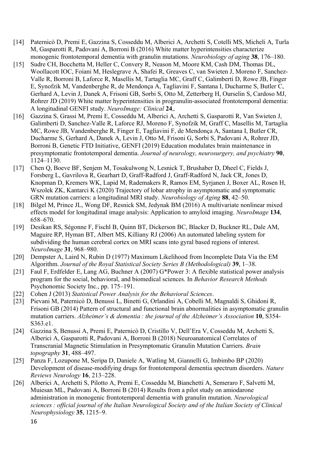- [14] Paternicò D, Premi E, Gazzina S, Cosseddu M, Alberici A, Archetti S, Cotelli MS, Micheli A, Turla M, Gasparotti R, Padovani A, Borroni B (2016) White matter hyperintensities characterize monogenic frontotemporal dementia with granulin mutations. *Neurobiology of aging* **38**, 176–180.
- [15] Sudre CH, Bocchetta M, Heller C, Convery R, Neason M, Moore KM, Cash DM, Thomas DL, Woollacott IOC, Foiani M, Heslegrave A, Shafei R, Greaves C, van Swieten J, Moreno F, Sanchez-Valle R, Borroni B, Laforce R, Masellis M, Tartaglia MC, Graff C, Galimberti D, Rowe JB, Finger E, Synofzik M, Vandenberghe R, de Mendonça A, Tagliavini F, Santana I, Ducharme S, Butler C, Gerhard A, Levin J, Danek A, Frisoni GB, Sorbi S, Otto M, Zetterberg H, Ourselin S, Cardoso MJ, Rohrer JD (2019) White matter hyperintensities in progranulin-associated frontotemporal dementia: A longitudinal GENFI study. *NeuroImage: Clinical* **24**,.
- [16] Gazzina S, Grassi M, Premi E, Cosseddu M, Alberici A, Archetti S, Gasparotti R, Van Swieten J, Galimberti D, Sanchez-Valle R, Laforce RJ, Moreno F, Synofzik M, Graff C, Masellis M, Tartaglia MC, Rowe JB, Vandenberghe R, Finger E, Tagliavini F, de Mendonça A, Santana I, Butler CR, Ducharme S, Gerhard A, Danek A, Levin J, Otto M, Frisoni G, Sorbi S, Padovani A, Rohrer JD, Borroni B, Genetic FTD Initiative, GENFI (2019) Education modulates brain maintenance in presymptomatic frontotemporal dementia. *Journal of neurology, neurosurgery, and psychiatry* **90**, 1124–1130.
- [17] Chen Q, Boeve BF, Senjem M, Tosakulwong N, Lesnick T, Brushaber D, Dheel C, Fields J, Forsberg L, Gavrilova R, Gearhart D, Graff-Radford J, Graff-Radford N, Jack CR, Jones D, Knopman D, Kremers WK, Lapid M, Rademakers R, Ramos EM, Syrjanen J, Boxer AL, Rosen H, Wszolek ZK, Kantarci K (2020) Trajectory of lobar atrophy in asymptomatic and symptomatic GRN mutation carriers: a longitudinal MRI study. *Neurobiology of Aging* **88**, 42–50.
- [18] Bilgel M, Prince JL, Wong DF, Resnick SM, Jedynak BM (2016) A multivariate nonlinear mixed effects model for longitudinal image analysis: Application to amyloid imaging. *NeuroImage* **134**, 658–670.
- [19] Desikan RS, Ségonne F, Fischl B, Quinn BT, Dickerson BC, Blacker D, Buckner RL, Dale AM, Maguire RP, Hyman BT, Albert MS, Killiany RJ (2006) An automated labeling system for subdividing the human cerebral cortex on MRI scans into gyral based regions of interest. *NeuroImage* **31**, 968–980.
- [20] Dempster A, Laird N, Rubin D (1977) Maximum Likelihood from Incomplete Data Via the EM Algorithm. *Journal of the Royal Statistical Society Series B (Methodological)* **39**, 1–38.
- [21] Faul F, Erdfelder E, Lang AG, Buchner A (2007) G\*Power 3: A flexible statistical power analysis program for the social, behavioral, and biomedical sciences. In *Behavior Research Methods* Psychonomic Society Inc., pp. 175–191.
- [22] Cohen J (2013) *Statistical Power Analysis for the Behavioral Sciences*.
- [23] Pievani M, Paternicò D, Benussi L, Binetti G, Orlandini A, Cobelli M, Magnaldi S, Ghidoni R, Frisoni GB (2014) Pattern of structural and functional brain abnormalities in asymptomatic granulin mutation carriers. *Alzheimer's & dementia : the journal of the Alzheimer's Association* **10**, S354- S363.e1.
- [24] Gazzina S, Benussi A, Premi E, Paternicò D, Cristillo V, Dell'Era V, Cosseddu M, Archetti S, Alberici A, Gasparotti R, Padovani A, Borroni B (2018) Neuroanatomical Correlates of Transcranial Magnetic Stimulation in Presymptomatic Granulin Mutation Carriers. *Brain topography* **31**, 488–497.
- [25] Panza F, Lozupone M, Seripa D, Daniele A, Watling M, Giannelli G, Imbimbo BP (2020) Development of disease-modifying drugs for frontotemporal dementia spectrum disorders. *Nature Reviews Neurology* **16**, 213–228.
- [26] Alberici A, Archetti S, Pilotto A, Premi E, Cosseddu M, Bianchetti A, Semeraro F, Salvetti M, Muiesan ML, Padovani A, Borroni B (2014) Results from a pilot study on amiodarone administration in monogenic frontotemporal dementia with granulin mutation. *Neurological sciences : official journal of the Italian Neurological Society and of the Italian Society of Clinical Neurophysiology* **35**, 1215–9.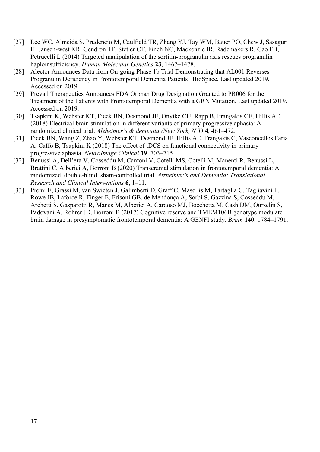- [27] Lee WC, Almeida S, Prudencio M, Caulfield TR, Zhang YJ, Tay WM, Bauer PO, Chew J, Sasaguri H, Jansen-west KR, Gendron TF, Stetler CT, Finch NC, Mackenzie IR, Rademakers R, Gao FB, Petrucelli L (2014) Targeted manipulation of the sortilin-progranulin axis rescues progranulin haploinsufficiency. *Human Molecular Genetics* **23**, 1467–1478.
- [28] Alector Announces Data from On-going Phase 1b Trial Demonstrating that AL001 Reverses Progranulin Deficiency in Frontotemporal Dementia Patients | BioSpace, Last updated 2019, Accessed on 2019.
- [29] Prevail Therapeutics Announces FDA Orphan Drug Designation Granted to PR006 for the Treatment of the Patients with Frontotemporal Dementia with a GRN Mutation, Last updated 2019, Accessed on 2019.
- [30] Tsapkini K, Webster KT, Ficek BN, Desmond JE, Onyike CU, Rapp B, Frangakis CE, Hillis AE (2018) Electrical brain stimulation in different variants of primary progressive aphasia: A randomized clinical trial. *Alzheimer's & dementia (New York, N Y)* **4**, 461–472.
- [31] Ficek BN, Wang Z, Zhao Y, Webster KT, Desmond JE, Hillis AE, Frangakis C, Vasconcellos Faria A, Caffo B, Tsapkini K (2018) The effect of tDCS on functional connectivity in primary progressive aphasia. *NeuroImage Clinical* **19**, 703–715.
- [32] Benussi A, Dell'era V, Cosseddu M, Cantoni V, Cotelli MS, Cotelli M, Manenti R, Benussi L, Brattini C, Alberici A, Borroni B (2020) Transcranial stimulation in frontotemporal dementia: A randomized, double-blind, sham-controlled trial. *Alzheimer's and Dementia: Translational Research and Clinical Interventions* **6**, 1–11.
- [33] Premi E, Grassi M, van Swieten J, Galimberti D, Graff C, Masellis M, Tartaglia C, Tagliavini F, Rowe JB, Laforce R, Finger E, Frisoni GB, de Mendonça A, Sorbi S, Gazzina S, Cosseddu M, Archetti S, Gasparotti R, Manes M, Alberici A, Cardoso MJ, Bocchetta M, Cash DM, Ourselin S, Padovani A, Rohrer JD, Borroni B (2017) Cognitive reserve and TMEM106B genotype modulate brain damage in presymptomatic frontotemporal dementia: A GENFI study. *Brain* **140**, 1784–1791.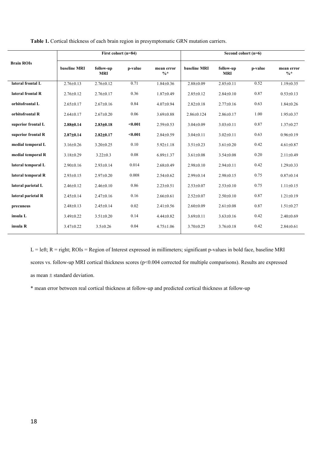| <b>Brain ROIs</b>  | First cohort (n=84) |                         |         |                      | Second cohort (n=6) |                         |         |                               |
|--------------------|---------------------|-------------------------|---------|----------------------|---------------------|-------------------------|---------|-------------------------------|
|                    | <b>baseline MRI</b> | follow-up<br><b>MRI</b> | p-value | mean error<br>$0/0*$ | baseline MRI        | follow-up<br><b>MRI</b> | p-value | mean error<br>$\frac{0}{6}$ * |
| lateral frontal L  | $2.76 \pm 0.13$     | $2.76 \pm 0.12$         | 0.71    | $1.84 \pm 0.36$      | $2.88 \pm 0.09$     | $2.85 \pm 0.11$         | 0.52    | $1.19 \pm 0.35$               |
| lateral frontal R  | $2.76 \pm 0.12$     | $2.76 \pm 0.17$         | 0.36    | $1.87 \pm 0.49$      | $2.85 \pm 0.12$     | $2.84 \pm 0.10$         | 0.87    | $0.53 \pm 0.13$               |
| orbitofrontal L    | $2.65 \pm 0.17$     | $2.67 \pm 0.16$         | 0.84    | $4.07 \pm 0.94$      | $2.82 \pm 0.18$     | $2.77 \pm 0.16$         | 0.63    | $1.84 \pm 0.26$               |
| orbitofrontal R    | $2.64 \pm 0.17$     | $2.67 \pm 0.20$         | 0.06    | $3.69 \pm 0.88$      | $2.86 \pm 0.124$    | $2.86 \pm 0.17$         | 1.00    | $1.95 \pm 0.37$               |
| superior frontal L | $2.88 \pm 0.14$     | $2.83 \pm 0.18$         | < 0.001 | $2.59 \pm 0.53$      | $3.04 \pm 0.09$     | $3.03 \pm 0.11$         | 0.87    | $1.37 \pm 0.27$               |
| superior frontal R | $2.87 \pm 0.14$     | $2.82 \pm 0.17$         | < 0.001 | $2.84 \pm 0.59$      | $3.04 \pm 0.11$     | $3.02 \pm 0.11$         | 0.63    | $0.96 \pm 0.19$               |
| medial temporal L  | $3.16 \pm 0.26$     | $3.20 \pm 0.25$         | 0.10    | $5.92 \pm 1.18$      | $3.51 \pm 0.23$     | $3.61 \pm 0.20$         | 0.42    | $4.61 \pm 0.87$               |
| medial temporal R  | $3.18 \pm 0.29$     | $3.22 \pm 0.3$          | 0.08    | $6.89 \pm 1.37$      | $3.61 \pm 0.08$     | $3.54 \pm 0.08$         | 0.20    | $2.11 \pm 0.49$               |
| lateral temporal L | $2.90 \pm 0.16$     | $2.93 \pm 0.14$         | 0.014   | $2.68 \pm 0.49$      | $2.98 \pm 0.10$     | $2.94 \pm 0.11$         | 0.42    | $1.29 \pm 0.33$               |
| lateral temporal R | $2.93 \pm 0.15$     | $2.97 \pm 0.20$         | 0.008   | $2.54 \pm 0.62$      | $2.99 \pm 0.14$     | $2.98 \pm 0.15$         | 0.75    | $0.87 \pm 0.14$               |
| lateral parietal L | $2.46 \pm 0.12$     | $2.46 \pm 0.10$         | 0.86    | $2.23 \pm 0.51$      | $2.53 \pm 0.07$     | $2.53 \pm 0.10$         | 0.75    | $1.11 \pm 0.15$               |
| lateral parietal R | $2.45 \pm 0.14$     | $2.47 \pm 0.16$         | 0.16    | $2.66 \pm 0.61$      | $2.52 \pm 0.07$     | $2.50 \pm 0.10$         | 0.87    | $1.21 \pm 0.19$               |
| precuneus          | $2.48 \pm 0.13$     | $2.45 \pm 0.14$         | 0.02    | $2.41 \pm 0.56$      | $2.60 \pm 0.09$     | $2.61 \pm 0.08$         | 0.87    | $1.51 \pm 0.27$               |
| insula L           | $3.49 \pm 0.22$     | $3.51 \pm 0.20$         | 0.14    | $4.44 \pm 0.82$      | $3.69 \pm 0.11$     | $3.63 \pm 0.16$         | 0.42    | $2.40 \pm 0.69$               |
| insula R           | $3.47 \pm 0.22$     | $3.5 \pm 0.26$          | 0.04    | $4.75 \pm 1.06$      | $3.70 \pm 0.25$     | $3.76 \pm 0.18$         | 0.42    | $2.84 \pm 0.61$               |

**Table 1.** Cortical thickness of each brain region in presymptomatic GRN mutation carriers.

 $L = left; R = right; ROIs = Region of Interest expressed in millimeters; significant p-values in bold face, baseline MRI$ scores vs. follow-up MRI cortical thickness scores (p<0.004 corrected for multiple comparisons). Results are expressed as mean  $\pm$  standard deviation.

\* mean error between real cortical thickness at follow-up and predicted cortical thickness at follow-up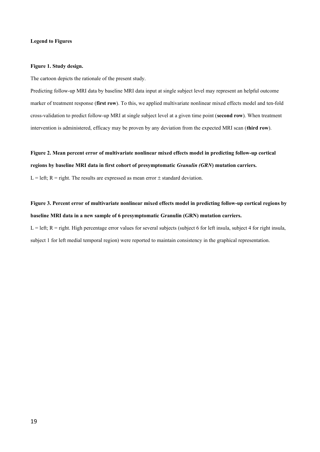### **Legend to Figures**

### **Figure 1. Study design.**

The cartoon depicts the rationale of the present study.

Predicting follow-up MRI data by baseline MRI data input at single subject level may represent an helpful outcome marker of treatment response (**first row**). To this, we applied multivariate nonlinear mixed effects model and ten-fold cross-validation to predict follow-up MRI at single subject level at a given time point (**second row**). When treatment intervention is administered, efficacy may be proven by any deviation from the expected MRI scan (**third row**).

**Figure 2. Mean percent error of multivariate nonlinear mixed effects model in predicting follow-up cortical regions by baseline MRI data in first cohort of presymptomatic** *Granulin (GRN***) mutation carriers.**

L = left; R = right. The results are expressed as mean error  $\pm$  standard deviation.

**Figure 3. Percent error of multivariate nonlinear mixed effects model in predicting follow-up cortical regions by baseline MRI data in a new sample of 6 presymptomatic Granulin (GRN) mutation carriers.** 

 $L = left$ ;  $R = right$ . High percentage error values for several subjects (subject 6 for left insula, subject 4 for right insula, subject 1 for left medial temporal region) were reported to maintain consistency in the graphical representation.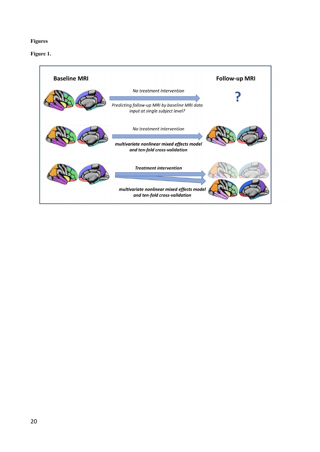# **Figures**

# **Figure 1.**

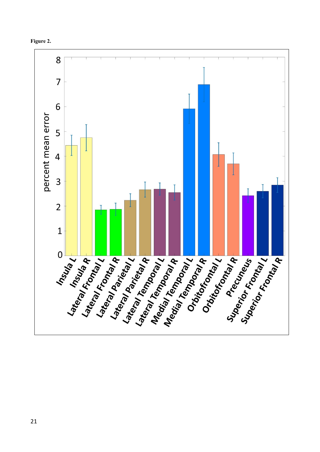

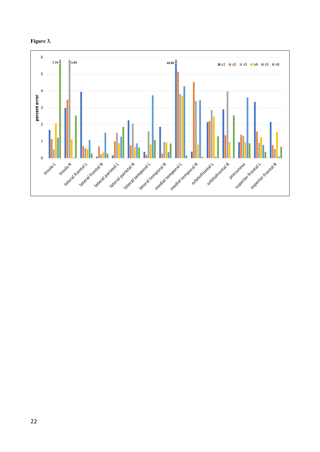

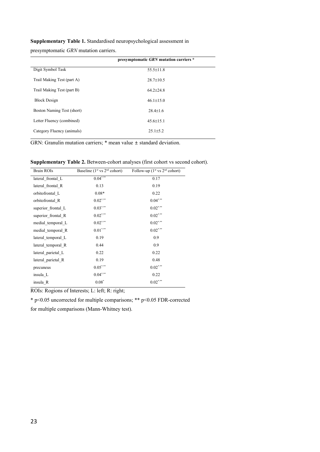**Supplementary Table 1.** Standardised neuropsychological assessment in

presymptomatic *GRN* mutation carriers.

|                            | presymptomatic GRN mutation carriers * |
|----------------------------|----------------------------------------|
| Digit Symbol Task          | $55.5 \pm 11.8$                        |
| Trail Making Test (part A) | $28.7 + 10.5$                          |
| Trail Making Test (part B) | $64.2 + 24.8$                          |
| <b>Block Design</b>        | $46.1 \pm 15.0$                        |
| Boston Naming Test (short) | $28.4 + 1.6$                           |
| Letter Fluency (combined)  | $45.6 + 15.1$                          |
| Category Fluency (animals) | $25.1 \pm 5.2$                         |
|                            |                                        |

GRN: Granulin mutation carriers; \* mean value ± standard deviation.

Supplementary Table 2. Between-cohort analyses (first cohort vs second cohort).

| <b>Brain ROIs</b>  | Baseline $(1st$ vs $2nd$ cohort)     | Follow-up $(1st$ vs $2nd$ cohort) |
|--------------------|--------------------------------------|-----------------------------------|
| lateral frontal L  | $0.04***$                            | 0.17                              |
| lateral frontal R  | 0.13                                 | 0.19                              |
| orbitofrontal L    | $0.08*$                              | 0.22                              |
| orbitofrontal R    | $0.02\sp{^\ast\sp{^\ast\sp{^\ast}}}$ | $0.04***$                         |
| superior frontal L | $0.03$ *.**                          | $0.02$ ***                        |
| superior frontal R | $0.02$ ***                           | $0.02$ ***                        |
| medial temporal L  | $0.02$ *.**                          | $0.02$ ***                        |
| medial temporal R  | $0.01***$                            | $0.02***$                         |
| lateral temporal L | 0.19                                 | 0.9                               |
| lateral temporal R | 0.44                                 | 0.9                               |
| lateral parietal L | 0.22                                 | 0.22                              |
| lateral parietal R | 0.19                                 | 0.48                              |
| precuneus          | $0.05^{***}$                         | $0.02$ ***                        |
| insula L           | $0.04***$                            | 0.22                              |
| insula R           | $0.08*$                              | $0.02$ *.**                       |

ROIs: Rogions of Interests; L: left; R: right;

\* p<0.05 uncorrected for multiple comparisons; \*\* p<0.05 FDR-corrected

for multiple comparisons (Mann-Whitney test).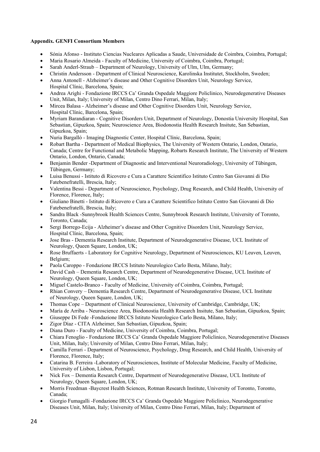## **Appendix. GENFI Consortium Members**

- Sónia Afonso Instituto Ciencias Nucleares Aplicadas a Saude, Universidade de Coimbra, Coimbra, Portugal;
- Maria Rosario Almeida Faculty of Medicine, University of Coimbra, Coimbra, Portugal;
- Sarah Anderl-Straub Department of Neurology, University of Ulm, Ulm, Germany;
- Christin Andersson Department of Clinical Neuroscience, Karolinska Institutet, Stockholm, Sweden;
- Anna Antonell Alzheimer's disease and Other Cognitive Disorders Unit, Neurology Service, Hospital Clínic, Barcelona, Spain;
- Andrea Arighi Fondazione IRCCS Ca' Granda Ospedale Maggiore Policlinico, Neurodegenerative Diseases Unit, Milan, Italy; University of Milan, Centro Dino Ferrari, Milan, Italy;
- Mircea Balasa Alzheimer's disease and Other Cognitive Disorders Unit, Neurology Service, Hospital Clínic, Barcelona, Spain;
- Myriam Barandiaran Cognitive Disorders Unit, Department of Neurology, Donostia University Hospital, San Sebastian, Gipuzkoa, Spain; Neuroscience Area, Biodonostia Health Research Insitute, San Sebastian, Gipuzkoa, Spain;
- Nuria Bargalló Imaging Diagnostic Center, Hospital Clínic, Barcelona, Spain;
- Robart Bartha Department of Medical Biophysics, The University of Western Ontario, London, Ontario, Canada; Centre for Functional and Metabolic Mapping, Robarts Research Institute, The University of Western Ontario, London, Ontario, Canada;
- Benjamin Bender -Department of Diagnostic and Interventional Neuroradiology, University of Tübingen, Tübingen, Germany;
- Luisa Benussi Istituto di Ricovero e Cura a Carattere Scientifico Istituto Centro San Giovanni di Dio Fatebenefratelli, Brescia, Italy;
- Valentina Bessi Department of Neuroscience, Psychology, Drug Research, and Child Health, University of Florence, Florence, Italy;
- Giuliano Binetti Istituto di Ricovero e Cura a Carattere Scientifico Istituto Centro San Giovanni di Dio Fatebenefratelli, Brescia, Italy;
- Sandra Black -Sunnybrook Health Sciences Centre, Sunnybrook Research Institute, University of Toronto, Toronto, Canada;
- Sergi Borrego-Ecija Alzheimer's disease and Other Cognitive Disorders Unit, Neurology Service, Hospital Clínic, Barcelona, Spain;
- Jose Bras Dementia Research Institute, Department of Neurodegenerative Disease, UCL Institute of Neurology, Queen Square, London, UK;
- Rose Bruffaerts Laboratory for Cognitive Neurology, Department of Neurosciences, KU Leuven, Leuven, Belgium;
- Paola Caroppo Fondazione IRCCS Istituto Neurologico Carlo Besta, Milano, Italy;
- David Cash Dementia Research Centre, Department of Neurodegenerative Disease, UCL Institute of Neurology, Queen Square, London, UK;
- Miguel Castelo-Branco Faculty of Medicine, University of Coimbra, Coimbra, Portugal;
- Rhian Convery Dementia Research Centre, Department of Neurodegenerative Disease, UCL Institute of Neurology, Queen Square, London, UK;
- Thomas Cope Department of Clinical Neuroscience, University of Cambridge, Cambridge, UK;
- María de Arriba Neuroscience Area, Biodonostia Health Research Insitute, San Sebastian, Gipuzkoa, Spain;
- Giuseppe Di Fede -Fondazione IRCCS Istituto Neurologico Carlo Besta, Milano, Italy;
- Zigor Díaz CITA Alzheimer, San Sebastian, Gipuzkoa, Spain;
- Diana Duro Faculty of Medicine, University of Coimbra, Coimbra, Portugal;
- Chiara Fenoglio Fondazione IRCCS Ca' Granda Ospedale Maggiore Policlinico, Neurodegenerative Diseases Unit, Milan, Italy; University of Milan, Centro Dino Ferrari, Milan, Italy;
- Camilla Ferrari Department of Neuroscience, Psychology, Drug Research, and Child Health, University of Florence, Florence, Italy;
- Catarina B. Ferreira -Laboratory of Neurosciences, Institute of Molecular Medicine, Faculty of Medicine, University of Lisbon, Lisbon, Portugal;
- Nick Fox Dementia Research Centre, Department of Neurodegenerative Disease, UCL Institute of Neurology, Queen Square, London, UK;
- Morris Freedman -Baycrest Health Sciences, Rotman Research Institute, University of Toronto, Toronto, Canada;
- Giorgio Fumagalli -Fondazione IRCCS Ca' Granda Ospedale Maggiore Policlinico, Neurodegenerative Diseases Unit, Milan, Italy; University of Milan, Centro Dino Ferrari, Milan, Italy; Department of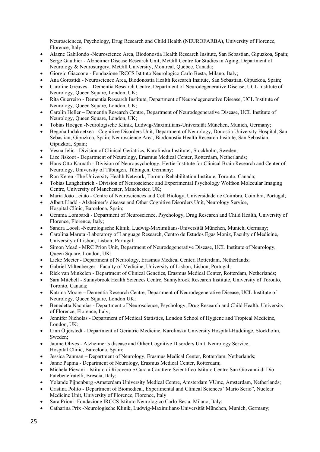Neurosciences, Psychology, Drug Research and Child Health (NEUROFARBA), University of Florence, Florence, Italy;

- Alazne Gabilondo -Neuroscience Area, Biodonostia Health Research Insitute, San Sebastian, Gipuzkoa, Spain;
- Serge Gauthier Alzheimer Disease Research Unit, McGill Centre for Studies in Aging, Department of Neurology & Neurosurgery, McGill University, Montreal, Québec, Canada;
- Giorgio Giaccone Fondazione IRCCS Istituto Neurologico Carlo Besta, Milano, Italy;
- Ana Gorostidi Neuroscience Area, Biodonostia Health Research Insitute, San Sebastian, Gipuzkoa, Spain;
- Caroline Greaves Dementia Research Centre, Department of Neurodegenerative Disease, UCL Institute of Neurology, Queen Square, London, UK;
- Rita Guerreiro Dementia Research Institute, Department of Neurodegenerative Disease, UCL Institute of Neurology, Queen Square, London, UK;
- Carolin Heller Dementia Research Centre, Department of Neurodegenerative Disease, UCL Institute of Neurology, Queen Square, London, UK;
- Tobias Hoegen -Neurologische Klinik, Ludwig-Maximilians-Universität München, Munich, Germany;
- Begoña Indakoetxea Cognitive Disorders Unit, Department of Neurology, Donostia University Hospital, San Sebastian, Gipuzkoa, Spain; Neuroscience Area, Biodonostia Health Research Insitute, San Sebastian, Gipuzkoa, Spain;
- Vesna Jelic Division of Clinical Geriatrics, Karolinska Institutet, Stockholm, Sweden;
- Lize Jiskoot Department of Neurology, Erasmus Medical Center, Rotterdam, Netherlands;
- Hans-Otto Karnath Division of Neuropsychology, Hertie-Institute for Clinical Brain Research and Center of Neurology, University of Tübingen, Tübingen, Germany;
- Ron Keren -The University Health Network, Toronto Rehabilitation Institute, Toronto, Canada;
- Tobias Langheinrich Division of Neuroscience and Experimental Psychology Wolfson Molecular Imaging Centre, University of Manchester, Manchester, UK;
- Maria João Leitão Centre of Neurosciences and Cell Biology, Universidade de Coimbra, Coimbra, Portugal;
- Albert Lladó Alzheimer's disease and Other Cognitive Disorders Unit, Neurology Service, Hospital Clínic, Barcelona, Spain;
- Gemma Lombardi Department of Neuroscience, Psychology, Drug Research and Child Health, University of Florence, Florence, Italy;
- Sandra Loosli -Neurologische Klinik, Ludwig-Maximilians-Universität München, Munich, Germany;
- Carolina Maruta -Laboratory of Language Research, Centro de Estudos Egas Moniz, Faculty of Medicine, University of Lisbon, Lisbon, Portugal;
- Simon Mead MRC Prion Unit, Department of Neurodegenerative Disease, UCL Institute of Neurology, Queen Square, London, UK;
- Lieke Meeter Department of Neurology, Erasmus Medical Center, Rotterdam, Netherlands;
- Gabriel Miltenberger Faculty of Medicine, University of Lisbon, Lisbon, Portugal;
- Rick van Minkelen Department of Clinical Genetics, Erasmus Medical Center, Rotterdam, Netherlands;
- Sara Mitchell Sunnybrook Health Sciences Centre, Sunnybrook Research Institute, University of Toronto, Toronto, Canada;
- Katrina Moore Dementia Research Centre, Department of Neurodegenerative Disease, UCL Institute of Neurology, Queen Square, London UK;
- Benedetta Nacmias Department of Neuroscience, Psychology, Drug Research and Child Health, University of Florence, Florence, Italy;
- Jennifer Nicholas Department of Medical Statistics, London School of Hygiene and Tropical Medicine, London, UK;
- Linn Öijerstedt Department of Geriatric Medicine, Karolinska University Hospital-Huddinge, Stockholm, Sweden;
- Jaume Olives Alzheimer's disease and Other Cognitive Disorders Unit, Neurology Service, Hospital Clínic, Barcelona, Spain;
- Jessica Panman Department of Neurology, Erasmus Medical Center, Rotterdam, Netherlands;
- Janne Papma Department of Neurology, Erasmus Medical Center, Rotterdam;
- Michela Pievani Istituto di Ricovero e Cura a Carattere Scientifico Istituto Centro San Giovanni di Dio Fatebenefratelli, Brescia, Italy;
- Yolande Pijnenburg -Amsterdam University Medical Centre, Amsterdam VUmc, Amsterdam, Netherlands;
- Cristina Polito Department of Biomedical, Experimental and Clinical Sciences "Mario Serio", Nuclear Medicine Unit, University of Florence, Florence, Italy
- Sara Prioni -Fondazione IRCCS Istituto Neurologico Carlo Besta, Milano, Italy;
- Catharina Prix -Neurologische Klinik, Ludwig-Maximilians-Universität München, Munich, Germany;